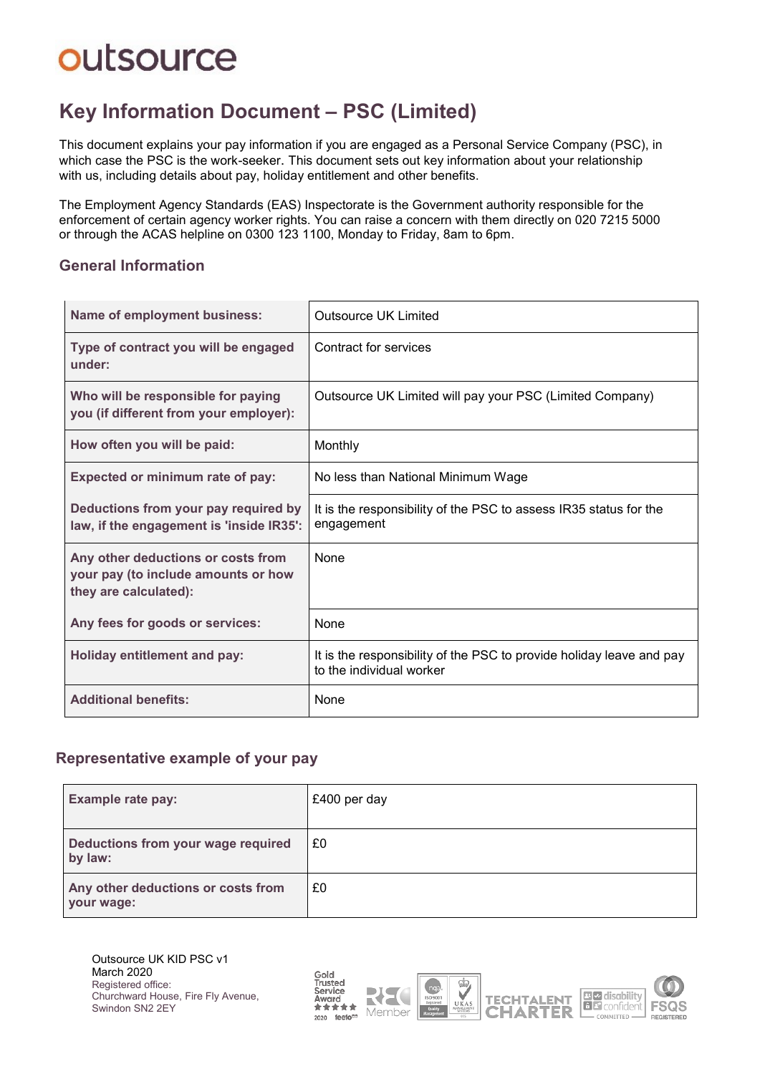# **outsource**

### **Key Information Document ‒ PSC (Limited)**

This document explains your pay information if you are engaged as a Personal Service Company (PSC), in which case the PSC is the work-seeker. This document sets out key information about your relationship with us, including details about pay, holiday entitlement and other benefits.

The Employment Agency Standards (EAS) Inspectorate is the Government authority responsible for the enforcement of certain agency worker rights. You can raise a concern with them directly on 020 7215 5000 or through the ACAS helpline on 0300 123 1100, Monday to Friday, 8am to 6pm.

#### **General Information**

| <b>Name of employment business:</b>                                                                | <b>Outsource UK Limited</b>                                                                      |
|----------------------------------------------------------------------------------------------------|--------------------------------------------------------------------------------------------------|
| Type of contract you will be engaged<br>under:                                                     | Contract for services                                                                            |
| Who will be responsible for paying<br>you (if different from your employer):                       | Outsource UK Limited will pay your PSC (Limited Company)                                         |
| How often you will be paid:                                                                        | Monthly                                                                                          |
| Expected or minimum rate of pay:                                                                   | No less than National Minimum Wage                                                               |
| Deductions from your pay required by<br>law, if the engagement is 'inside IR35':                   | It is the responsibility of the PSC to assess IR35 status for the<br>engagement                  |
| Any other deductions or costs from<br>your pay (to include amounts or how<br>they are calculated): | None                                                                                             |
| Any fees for goods or services:                                                                    | None                                                                                             |
| <b>Holiday entitlement and pay:</b>                                                                | It is the responsibility of the PSC to provide holiday leave and pay<br>to the individual worker |
| <b>Additional benefits:</b>                                                                        | None                                                                                             |

#### **Representative example of your pay**

| <b>Example rate pay:</b>                         | £400 per day |
|--------------------------------------------------|--------------|
| Deductions from your wage required<br>by law:    | £0           |
| Any other deductions or costs from<br>your wage: | £0           |